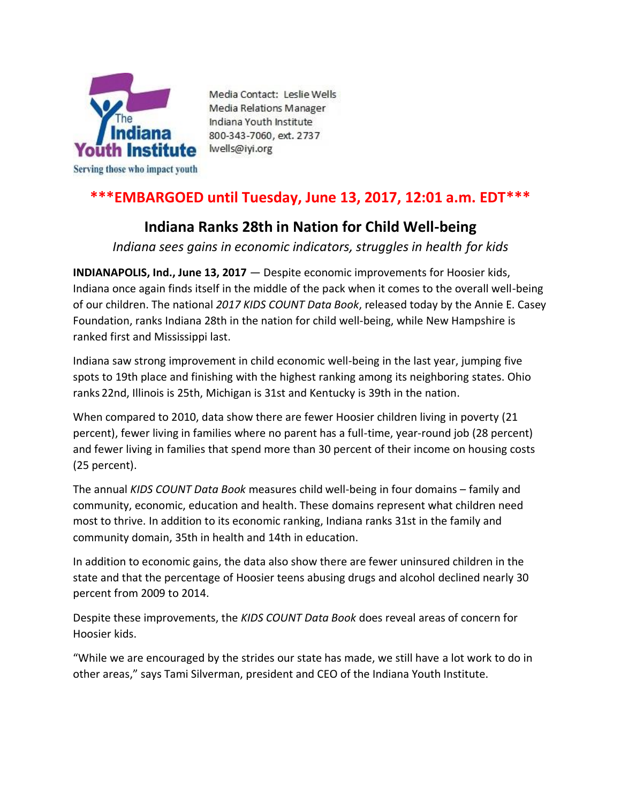

Media Contact: Leslie Wells Media Relations Manager Indiana Youth Institute 800-343-7060, ext. 2737 lwells@iyi.org

# **\*\*\*EMBARGOED until Tuesday, June 13, 2017, 12:01 a.m. EDT\*\*\***

## **Indiana Ranks 28th in Nation for Child Well-being**

*Indiana sees gains in economic indicators, struggles in health for kids*

**INDIANAPOLIS, Ind., June 13, 2017** — Despite economic improvements for Hoosier kids, Indiana once again finds itself in the middle of the pack when it comes to the overall well-being of our children. The national *2017 KIDS COUNT Data Book*, released today by the Annie E. Casey Foundation, ranks Indiana 28th in the nation for child well-being, while New Hampshire is ranked first and Mississippi last.

Indiana saw strong improvement in child economic well-being in the last year, jumping five spots to 19th place and finishing with the highest ranking among its neighboring states. Ohio ranks 22nd, Illinois is 25th, Michigan is 31st and Kentucky is 39th in the nation.

When compared to 2010, data show there are fewer Hoosier children living in poverty (21 percent), fewer living in families where no parent has a full-time, year-round job (28 percent) and fewer living in families that spend more than 30 percent of their income on housing costs (25 percent).

The annual *KIDS COUNT Data Book* measures child well-being in four domains – family and community, economic, education and health. These domains represent what children need most to thrive. In addition to its economic ranking, Indiana ranks 31st in the family and community domain, 35th in health and 14th in education.

In addition to economic gains, the data also show there are fewer uninsured children in the state and that the percentage of Hoosier teens abusing drugs and alcohol declined nearly 30 percent from 2009 to 2014.

Despite these improvements, the *KIDS COUNT Data Book* does reveal areas of concern for Hoosier kids.

"While we are encouraged by the strides our state has made, we still have a lot work to do in other areas," says Tami Silverman, president and CEO of the Indiana Youth Institute.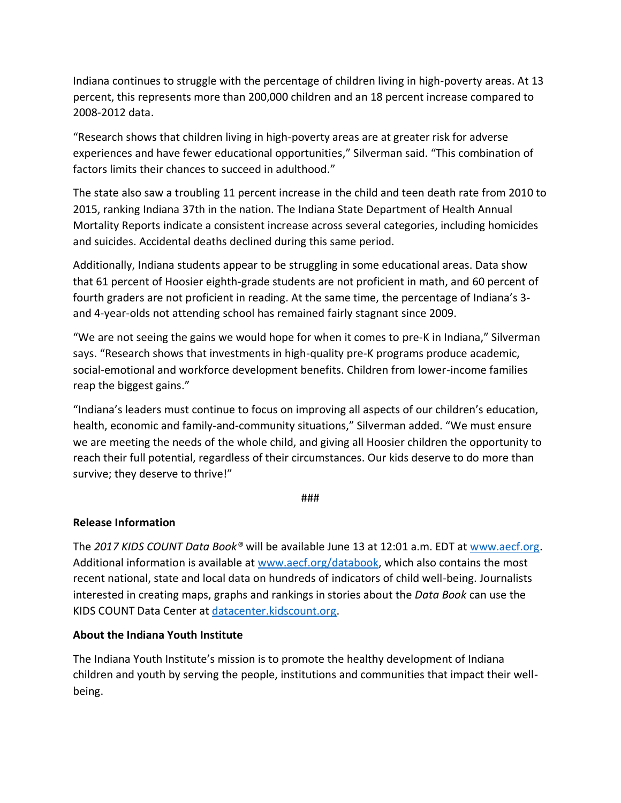Indiana continues to struggle with the percentage of children living in high-poverty areas. At 13 percent, this represents more than 200,000 children and an 18 percent increase compared to 2008-2012 data.

"Research shows that children living in high-poverty areas are at greater risk for adverse experiences and have fewer educational opportunities," Silverman said. "This combination of factors limits their chances to succeed in adulthood."

The state also saw a troubling 11 percent increase in the child and teen death rate from 2010 to 2015, ranking Indiana 37th in the nation. The Indiana State Department of Health Annual Mortality Reports indicate a consistent increase across several categories, including homicides and suicides. Accidental deaths declined during this same period.

Additionally, Indiana students appear to be struggling in some educational areas. Data show that 61 percent of Hoosier eighth-grade students are not proficient in math, and 60 percent of fourth graders are not proficient in reading. At the same time, the percentage of Indiana's 3 and 4-year-olds not attending school has remained fairly stagnant since 2009.

"We are not seeing the gains we would hope for when it comes to pre-K in Indiana," Silverman says. "Research shows that investments in high-quality pre-K programs produce academic, social-emotional and workforce development benefits. Children from lower-income families reap the biggest gains."

"Indiana's leaders must continue to focus on improving all aspects of our children's education, health, economic and family-and-community situations," Silverman added. "We must ensure we are meeting the needs of the whole child, and giving all Hoosier children the opportunity to reach their full potential, regardless of their circumstances. Our kids deserve to do more than survive; they deserve to thrive!"

#### ###

### **Release Information**

The *2017 KIDS COUNT Data Book®* will be available June 13 at 12:01 a.m. EDT at [www.aecf.org.](http://www.aecf.org/) Additional information is available at [www.aecf.org/databook,](http://www.aecf.org/databook) which also contains the most recent national, state and local data on hundreds of indicators of child well-being. Journalists interested in creating maps, graphs and rankings in stories about the *Data Book* can use the KIDS COUNT Data Center at [datacenter.kidscount.org.](http://datacenter.kidscount.org/)

### **About the Indiana Youth Institute**

The Indiana Youth Institute's mission is to promote the healthy development of Indiana children and youth by serving the people, institutions and communities that impact their wellbeing.